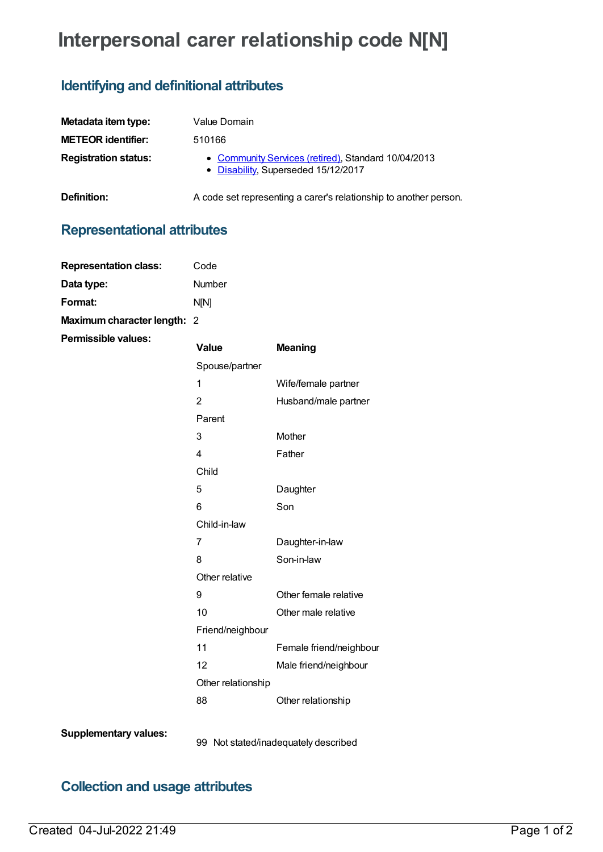# **Interpersonal carer relationship code N[N]**

### **Identifying and definitional attributes**

| Metadata item type:         | Value Domain                                                                               |
|-----------------------------|--------------------------------------------------------------------------------------------|
| <b>METEOR</b> identifier:   | 510166                                                                                     |
| <b>Registration status:</b> | • Community Services (retired), Standard 10/04/2013<br>• Disability, Superseded 15/12/2017 |

**Definition:** A code set representing a carer's relationship to another person.

# **Representational attributes**

| <b>Representation class:</b> | Code           |                |
|------------------------------|----------------|----------------|
| Data type:                   | <b>Number</b>  |                |
| Format:                      | N[N]           |                |
| Maximum character length: 2  |                |                |
| Permissible values:          | Value          | <b>Meaning</b> |
|                              | Spouse/partner |                |
|                              | 1              | Wife/fema      |
|                              | 2              | Husband/       |
|                              | Parent         |                |
|                              | 3              | <b>Mother</b>  |
|                              | 4              | Father         |
|                              |                |                |

female partner and/male partner 3 Mother 4 Father Child 5 Daughter 6 Son Child-in-law 7 Daughter-in-law 8 Son-in-law Other relative 9 Other female relative 10 Other male relative Friend/neighbour 11 Female friend/neighbour 12 Male friend/neighbour Other relationship 88 Other relationship

**Supplementary values:**

99 Not stated/inadequately described

## **Collection and usage attributes**